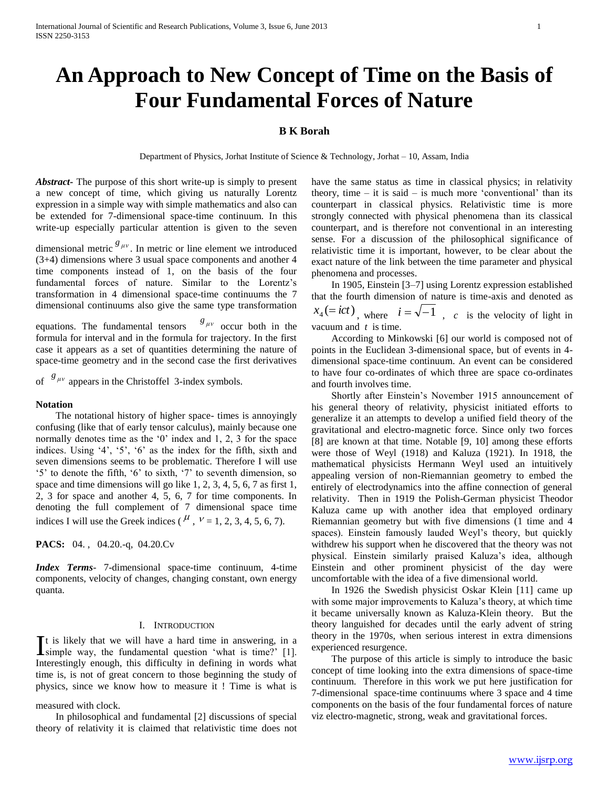# **An Approach to New Concept of Time on the Basis of Four Fundamental Forces of Nature**

# **B K Borah**

Department of Physics, Jorhat Institute of Science & Technology, Jorhat – 10, Assam, India

*Abstract***-** The purpose of this short write-up is simply to present a new concept of time, which giving us naturally Lorentz expression in a simple way with simple mathematics and also can be extended for 7-dimensional space-time continuum. In this write-up especially particular attention is given to the seven

dimensional metric  $g_{\mu\nu}$ . In metric or line element we introduced (3+4) dimensions where 3 usual space components and another 4 time components instead of 1, on the basis of the four fundamental forces of nature. Similar to the Lorentz's transformation in 4 dimensional space-time continuums the 7 dimensional continuums also give the same type transformation

equations. The fundamental tensors  $g_{\mu\nu}$  occur both in the formula for interval and in the formula for trajectory. In the first case it appears as a set of quantities determining the nature of space-time geometry and in the second case the first derivatives

of  $\frac{g_{\mu\nu}}{g}$  appears in the Christoffel 3-index symbols.

# **Notation**

 The notational history of higher space- times is annoyingly confusing (like that of early tensor calculus), mainly because one normally denotes time as the '0' index and 1, 2, 3 for the space indices. Using '4', '5', '6' as the index for the fifth, sixth and seven dimensions seems to be problematic. Therefore I will use '5' to denote the fifth, '6' to sixth, '7' to seventh dimension, so space and time dimensions will go like 1, 2, 3, 4, 5, 6, 7 as first 1, 2, 3 for space and another 4, 5, 6, 7 for time components. In denoting the full complement of 7 dimensional space time indices I will use the Greek indices ( $^{\mu}$ ,  $^{\nu}$  = 1, 2, 3, 4, 5, 6, 7).

**PACS:** 04. , 04.20.-q, 04.20.Cv

*Index Terms*- 7-dimensional space-time continuum, 4-time components, velocity of changes, changing constant, own energy quanta.

# I. INTRODUCTION

t is likely that we will have a hard time in answering, in a It is likely that we will have a hard time in answering, in a simple way, the fundamental question 'what is time?' [1]. Interestingly enough, this difficulty in defining in words what time is, is not of great concern to those beginning the study of physics, since we know how to measure it ! Time is what is

measured with clock.

 In philosophical and fundamental [2] discussions of special theory of relativity it is claimed that relativistic time does not have the same status as time in classical physics; in relativity theory, time  $-$  it is said  $-$  is much more 'conventional' than its counterpart in classical physics. Relativistic time is more strongly connected with physical phenomena than its classical counterpart, and is therefore not conventional in an interesting sense. For a discussion of the philosophical significance of relativistic time it is important, however, to be clear about the exact nature of the link between the time parameter and physical phenomena and processes.

 In 1905, Einstein [3–7] using Lorentz expression established that the fourth dimension of nature is time-axis and denoted as  $x_4 (= ict)$ , where  $i = \sqrt{-1}$ , *c* is the velocity of light in vacuum and *t* is time.

 According to Minkowski [6] our world is composed not of points in the Euclidean 3-dimensional space, but of events in 4 dimensional space-time continuum. An event can be considered to have four co-ordinates of which three are space co-ordinates and fourth involves time.

 Shortly after Einstein's November 1915 announcement of his general theory of relativity, physicist initiated efforts to generalize it an attempts to develop a unified field theory of the gravitational and electro-magnetic force. Since only two forces [8] are known at that time. Notable [9, 10] among these efforts were those of Weyl (1918) and Kaluza (1921). In 1918, the mathematical physicists Hermann Weyl used an intuitively appealing version of non-Riemannian geometry to embed the entirely of electrodynamics into the affine connection of general relativity. Then in 1919 the Polish-German physicist Theodor Kaluza came up with another idea that employed ordinary Riemannian geometry but with five dimensions (1 time and 4 spaces). Einstein famously lauded Weyl's theory, but quickly withdrew his support when he discovered that the theory was not physical. Einstein similarly praised Kaluza's idea, although Einstein and other prominent physicist of the day were uncomfortable with the idea of a five dimensional world.

 In 1926 the Swedish physicist Oskar Klein [11] came up with some major improvements to Kaluza's theory, at which time it became universally known as Kaluza-Klein theory. But the theory languished for decades until the early advent of string theory in the 1970s, when serious interest in extra dimensions experienced resurgence.

 The purpose of this article is simply to introduce the basic concept of time looking into the extra dimensions of space-time continuum. Therefore in this work we put here justification for 7-dimensional space-time continuums where 3 space and 4 time components on the basis of the four fundamental forces of nature viz electro-magnetic, strong, weak and gravitational forces.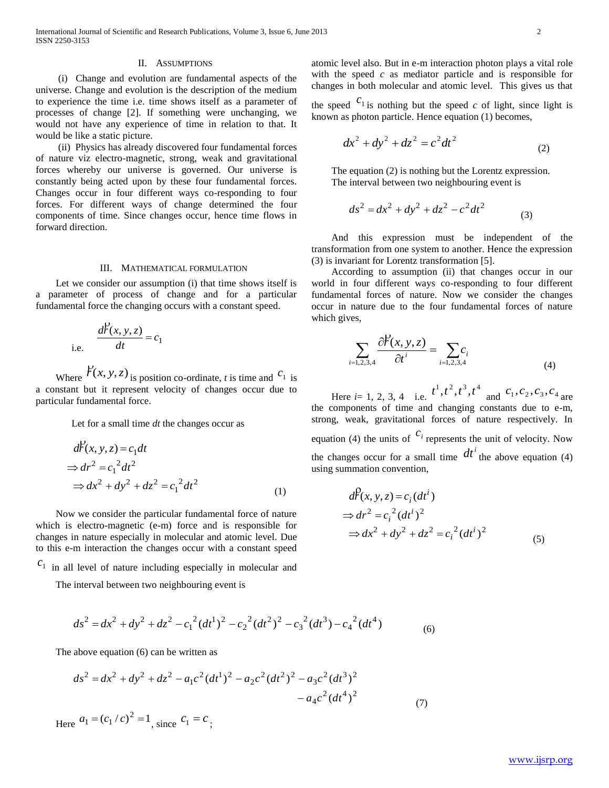### II. ASSUMPTIONS

 (i) Change and evolution are fundamental aspects of the universe. Change and evolution is the description of the medium to experience the time i.e. time shows itself as a parameter of processes of change [2]. If something were unchanging, we would not have any experience of time in relation to that. It would be like a static picture.

 (ii) Physics has already discovered four fundamental forces of nature viz electro-magnetic, strong, weak and gravitational forces whereby our universe is governed. Our universe is constantly being acted upon by these four fundamental forces. Changes occur in four different ways co-responding to four forces. For different ways of change determined the four components of time. Since changes occur, hence time flows in forward direction.

#### III. MATHEMATICAL FORMULATION

 Let we consider our assumption (i) that time shows itself is a parameter of process of change and for a particular fundamental force the changing occurs with a constant speed.

i.e. 
$$
\frac{dP(x, y, z)}{dt} = c_1
$$

Where  $\overleftrightarrow{r}(x, y, z)$ is position co-ordinate, *t* is time and  $c_1$  is a constant but it represent velocity of changes occur due to particular fundamental force.

Let for a small time *dt* the changes occur as

$$
d\mathcal{F}(x, y, z) = c_1 dt
$$
  
\n
$$
\Rightarrow dr^2 = c_1^2 dt^2
$$
  
\n
$$
\Rightarrow dx^2 + dy^2 + dz^2 = c_1^2 dt^2
$$
\n(1)

 Now we consider the particular fundamental force of nature which is electro-magnetic (e-m) force and is responsible for changes in nature especially in molecular and atomic level. Due to this e-m interaction the changes occur with a constant speed

 $c<sub>1</sub>$  in all level of nature including especially in molecular and

The interval between two neighbouring event is

$$
ds^{2} = dx^{2} + dy^{2} + dz^{2} - c_{1}^{2}(dt^{1})^{2} - c_{2}^{2}(dt^{2})^{2} - c_{3}^{2}(dt^{3}) - c_{4}^{2}(dt^{4})
$$
\n(6)

The above equation (6) can be written as  
\n
$$
ds^{2} = dx^{2} + dy^{2} + dz^{2} - a_{1}c^{2}(dt^{1})^{2} - a_{2}c^{2}(dt^{2})^{2} - a_{3}c^{2}(dt^{3})^{2} - a_{4}c^{2}(dt^{4})^{2}
$$
\n(7)

Here  $a_1 = (c_1/c)^2 = 1$ , since  $c_1 = c$ ;

atomic level also. But in e-m interaction photon plays a vital role with the speed *c* as mediator particle and is responsible for changes in both molecular and atomic level. This gives us that

the speed  $c_1$  is nothing but the speed *c* of light, since light is known as photon particle. Hence equation (1) becomes,

$$
dx^2 + dy^2 + dz^2 = c^2 dt^2
$$
 (2)

 The equation (2) is nothing but the Lorentz expression. The interval between two neighbouring event is

$$
ds^2 = dx^2 + dy^2 + dz^2 - c^2 dt^2
$$
 (3)

 And this expression must be independent of the transformation from one system to another. Hence the expression (3) is invariant for Lorentz transformation [5].

 According to assumption (ii) that changes occur in our world in four different ways co-responding to four different fundamental forces of nature. Now we consider the changes occur in nature due to the four fundamental forces of nature which gives,

$$
\sum_{i=1,2,3,4} \frac{\partial \mathcal{V}(x, y, z)}{\partial t^i} = \sum_{i=1,2,3,4} c_i
$$
 (4)

Here  $i=1, 2, 3, 4$  i.e.  $t^1, t^2, t^3, t^4$  and  $c_1, c_2, c_3, c_4$  are the components of time and changing constants due to e-m, strong, weak, gravitational forces of nature respectively. In equation (4) the units of  $c_i$  represents the unit of velocity. Now the changes occur for a small time  $dt^i$  the above equation (4) using summation convention,

$$
d\hat{F}(x, y, z) = c_i (dt^i)
$$
  
\n
$$
\Rightarrow dr^2 = c_i^2 (dt^i)^2
$$
  
\n
$$
\Rightarrow dx^2 + dy^2 + dz^2 = c_i^2 (dt^i)^2
$$
 (5)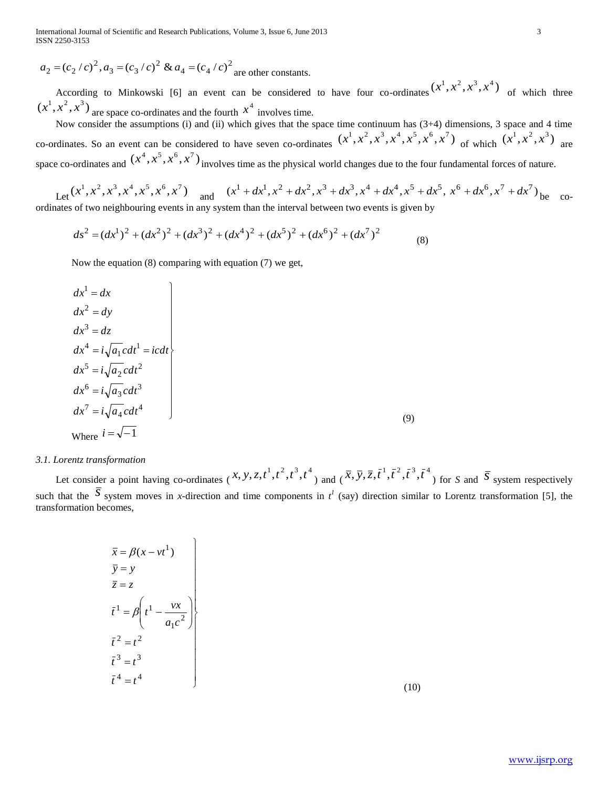International Journal of Scientific and Research Publications, Volume 3, Issue 6, June 2013 3 ISSN 2250-3153

$$
a_2 = (c_2/c)^2
$$
,  $a_3 = (c_3/c)^2$  &  $a_4 = (c_4/c)^2$  are other constants.

According to Minkowski [6] an event can be considered to have four co-ordinates  $(x^1, x^2, x^3, x^4)$  of which three  $(x^1, x^2, x^3)$  are space co-ordinates and the fourth  $x^4$  involves time.

 Now consider the assumptions (i) and (ii) which gives that the space time continuum has (3+4) dimensions, 3 space and 4 time co-ordinates. So an event can be considered to have seven co-ordinates  $(x^1, x^2, x^3, x^4, x^5, x^6, x^7)$  of which  $(x^1, x^2, x^3)$  are space co-ordinates and  $(x^4, x^5, x^6, x^7)$  involves time as the physical world changes due to the four fundamental forces of nature.

Let 
$$
(x^1, x^2, x^3, x^4, x^5, x^6, x^7)
$$
 and  $(x^1 + dx^1, x^2 + dx^2, x^3 + dx^3, x^4 + dx^4, x^5 + dx^5, x^6 + dx^6, x^7 + dx^7)$  be coordinates of two neighbouring events in any system than the interval between two events is given by

$$
ds^{2} = (dx^{1})^{2} + (dx^{2})^{2} + (dx^{3})^{2} + (dx^{4})^{2} + (dx^{5})^{2} + (dx^{6})^{2} + (dx^{7})^{2}
$$
\n(8)

Now the equation (8) comparing with equation (7) we get,

$$
dx^{1} = dx
$$
  
\n
$$
dx^{2} = dy
$$
  
\n
$$
dx^{3} = dz
$$
  
\n
$$
dx^{4} = i\sqrt{a_{1}}cdt^{1} = icdt
$$
  
\n
$$
dx^{5} = i\sqrt{a_{2}}cdt^{2}
$$
  
\n
$$
dx^{6} = i\sqrt{a_{3}}cdt^{3}
$$
  
\n
$$
dx^{7} = i\sqrt{a_{4}}cdt^{4}
$$
  
\nWhere  $i = \sqrt{-1}$  (9)

# *3.1. Lorentz transformation*

 Let consider a point having co-ordinates (  $(x, y, z, t<sup>1</sup>, t<sup>2</sup>, t<sup>3</sup>, t<sup>4</sup>)$  and (  $(\overline{x}, \overline{y}, \overline{z}, \overline{t}^1, \overline{t}^2, \overline{t}^3, \overline{t}^4)$  for *S* and  $\overline{S}$  system respectively such that the  $\overline{S}$  system moves in *x*-direction and time components in  $t^l$  (say) direction similar to Lorentz transformation [5], the transformation becomes,

$$
\begin{aligned}\n\overline{x} &= \beta(x - vt^1) \\
\overline{y} &= y \\
\overline{z} &= z \\
\overline{t}^1 &= \beta \left( t^1 - \frac{vx}{a_1 c^2} \right) \\
\overline{t}^2 &= t^2 \\
\overline{t}^3 &= t^3 \\
\overline{t}^4 &= t^4\n\end{aligned}
$$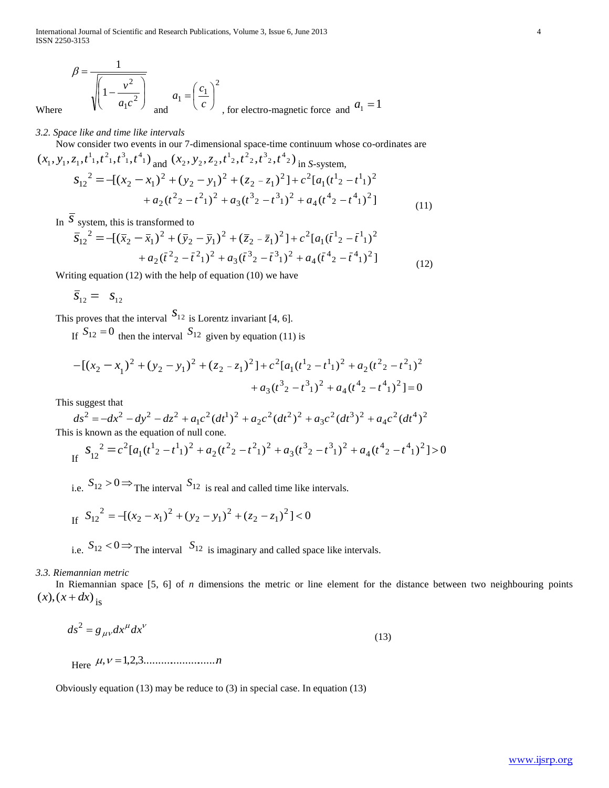International Journal of Scientific and Research Publications, Volume 3, Issue 6, June 2013 4 ISSN 2250-3153

$$
\beta = \frac{1}{\sqrt{\left(1 - \frac{v^2}{a_1 c^2}\right)}}
$$
 and 
$$
a_1 = \left(\frac{c_1}{c}\right)^2
$$
, for electro-magnetic force and  $a_1 = 1$ 

*3.2. Space like and time like intervals*

Where

Now consider two events in our 7-dimensional space-time continuum whose co-ordinates are

$$
(x_1, y_1, z_1, t^1, t^2, t^3, t^4) \text{ and } (x_2, y_2, z_2, t^1, t^2, t^3, t^4) \text{ in } S\text{-system},
$$
  
\n
$$
S_{12}^2 = -[(x_2 - x_1)^2 + (y_2 - y_1)^2 + (z_2 - z_1)^2] + c^2 [a_1(t^1z - t^1)]^2
$$
  
\n
$$
+ a_2(t^2z - t^2z^1) + a_3(t^3z - t^3z^2) + a_4(t^4z - t^4z^2) + a_1(t^4z - t^4z^3)
$$
\n(11)

In  $\overline{S}$  system, this is transformed to

$$
\overline{S}_{12}^2 = -[(\overline{x}_2 - \overline{x}_1)^2 + (\overline{y}_2 - \overline{y}_1)^2 + (\overline{z}_2 - \overline{z}_1)^2] + c^2 [a_1(\overline{t}^1{}_2 - \overline{t}^1{}_1)^2
$$
  
+  $a_2(\overline{t}^2{}_2 - \overline{t}^2{}_1)^2 + a_3(\overline{t}^3{}_2 - \overline{t}^3{}_1)^2 + a_4(\overline{t}^4{}_2 - \overline{t}^4{}_1)^2]$  (12)

Writing equation (12) with the help of equation (10) we have

$$
\overline{s}_{12} = s_{12}
$$

This proves that the interval  $S_{12}$  is Lorentz invariant [4, 6].

If  $S_{12} = 0$  then the interval  $S_{12}$  given by equation (11) is

$$
-[(x_2 - x_1)^2 + (y_2 - y_1)^2 + (z_2 - z_1)^2] + c^2[a_1(t^1z - t^1z^1) + a_2(t^2z - t^2z^2) + a_3(t^3z - t^3z^2 + a_4(t^4z - t^4z^2))] = 0
$$

This suggest that

$$
ds^{2} = -dx^{2} - dy^{2} - dz^{2} + a_{1}c^{2}(dt^{1})^{2} + a_{2}c^{2}(dt^{2})^{2} + a_{3}c^{2}(dt^{3})^{2} + a_{4}c^{2}(dt^{4})^{2}
$$
  
This is known as the equation of null cone

This is known as the equation of null cone.

If 
$$
S_{12}^2 = c^2 [a_1(t^1{}_2 - t^1{}_1)^2 + a_2(t^2{}_2 - t^2{}_1)^2 + a_3(t^3{}_2 - t^3{}_1)^2 + a_4(t^4{}_2 - t^4{}_1)^2] > 0
$$

i.e.  $S_{12} > 0 \Rightarrow$  The interval  $S_{12}$  is real and called time like intervals.

If 
$$
S_{12}^2 = -(x_2 - x_1)^2 + (y_2 - y_1)^2 + (z_2 - z_1)^2 < 0
$$

i.e.  $S_{12} < 0 \Rightarrow$  The interval  $S_{12}$  is imaginary and called space like intervals.

# *3.3. Riemannian metric*

 In Riemannian space [5, 6] of *n* dimensions the metric or line element for the distance between two neighbouring points  $(x)$ ,  $(x + dx)$  is

$$
ds^2 = g_{\mu\nu} dx^{\mu} dx^{\nu}
$$
 (13)

Here , 1,2,3.........................*n*

Obviously equation (13) may be reduce to (3) in special case. In equation (13)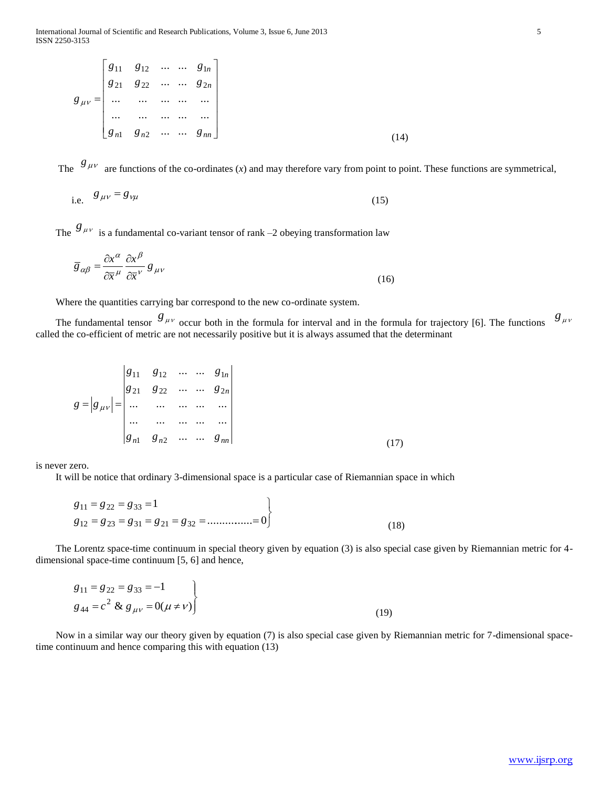$$
g_{\mu\nu} = \begin{bmatrix} g_{11} & g_{12} & \cdots & \cdots & g_{1n} \\ g_{21} & g_{22} & \cdots & \cdots & g_{2n} \\ \cdots & \cdots & \cdots & \cdots & \cdots \\ \cdots & \cdots & \cdots & \cdots & \cdots \\ g_{n1} & g_{n2} & \cdots & \cdots & g_{nn} \end{bmatrix}
$$
(14)

The  $g_{\mu\nu}$  are functions of the co-ordinates (*x*) and may therefore vary from point to point. These functions are symmetrical,

i.e. 
$$
g_{\mu\nu} = g_{\nu\mu} \tag{15}
$$

The  $g_{\mu\nu}$  is a fundamental co-variant tensor of rank  $-2$  obeying transformation law

$$
\overline{g}_{\alpha\beta} = \frac{\partial x^{\alpha}}{\partial \overline{x}^{\mu}} \frac{\partial x^{\beta}}{\partial \overline{x}^{\nu}} g_{\mu\nu}
$$
\n(16)

Where the quantities carrying bar correspond to the new co-ordinate system.

The fundamental tensor  $g_{\mu\nu}$  occur both in the formula for interval and in the formula for trajectory [6]. The functions  $g$ <sub>μν</sub> called the co-efficient of metric are not necessarily positive but it is always assumed that the determinant

$$
g = |g_{\mu\nu}| = \begin{vmatrix} g_{11} & g_{12} & \cdots & \cdots & g_{1n} \\ g_{21} & g_{22} & \cdots & \cdots & g_{2n} \\ \cdots & \cdots & \cdots & \cdots & \cdots \\ g_{n1} & g_{n2} & \cdots & \cdots & g_{nn} \end{vmatrix}
$$
 (17)

 $\overline{1}$ 

is never zero.

It will be notice that ordinary 3-dimensional space is a particular case of Riemannian space in which

$$
g_{11} = g_{22} = g_{33} = 1
$$
  
\n $g_{12} = g_{23} = g_{31} = g_{21} = g_{32} = \dots \dots \dots \dots = 0$  (18)

 The Lorentz space-time continuum in special theory given by equation (3) is also special case given by Riemannian metric for 4 dimensional space-time continuum [5, 6] and hence,

$$
g_{11} = g_{22} = g_{33} = -1
$$
  
\n
$$
g_{44} = c^2 \& g_{\mu\nu} = 0(\mu \neq \nu)
$$
\n(19)

 Now in a similar way our theory given by equation (7) is also special case given by Riemannian metric for 7-dimensional spacetime continuum and hence comparing this with equation (13)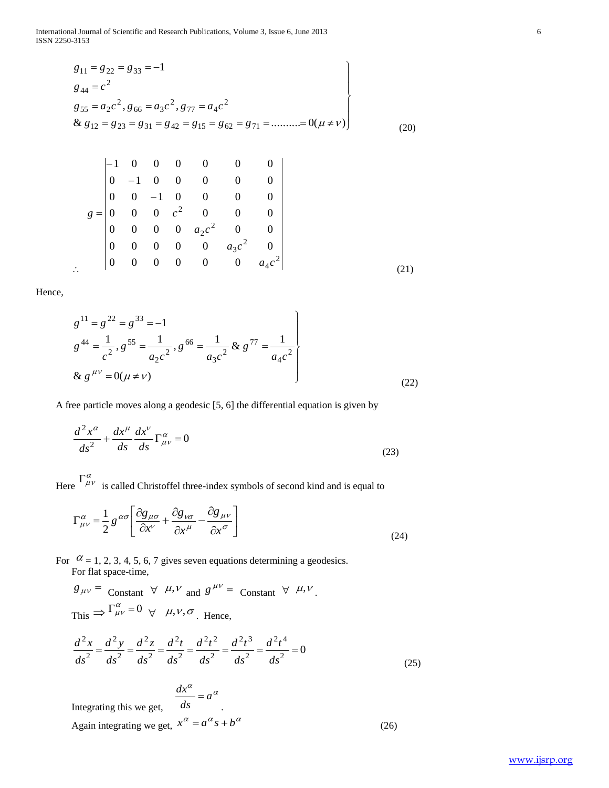International Journal of Scientific and Research Publications, Volume 3, Issue 6, June 2013 6 ISSN 2250-3153

$$
g_{11} = g_{22} = g_{33} = -1
$$
  
\n
$$
g_{44} = c^{2}
$$
  
\n
$$
g_{55} = a_{2}c^{2}, g_{66} = a_{3}c^{2}, g_{77} = a_{4}c^{2}
$$
  
\n& 
$$
g_{12} = g_{23} = g_{31} = g_{42} = g_{15} = g_{62} = g_{71} = \dots = 0(\mu \neq \nu)
$$
 (20)

$$
g = \begin{bmatrix}\n-1 & 0 & 0 & 0 & 0 & 0 & 0 \\
0 & -1 & 0 & 0 & 0 & 0 & 0 \\
0 & 0 & -1 & 0 & 0 & 0 & 0 \\
0 & 0 & 0 & c^2 & 0 & 0 & 0 \\
0 & 0 & 0 & 0 & a_2c^2 & 0 & 0 \\
0 & 0 & 0 & 0 & 0 & a_3c^2 & 0 \\
0 & 0 & 0 & 0 & 0 & 0 & a_4c^2\n\end{bmatrix}
$$
\n(21)

Hence,

 $\mathbb{R}^2$ 

$$
g^{11} = g^{22} = g^{33} = -1
$$
  
\n
$$
g^{44} = \frac{1}{c^2}, g^{55} = \frac{1}{a_2 c^2}, g^{66} = \frac{1}{a_3 c^2} \& g^{77} = \frac{1}{a_4 c^2}
$$
  
\n
$$
\& g^{\mu\nu} = 0(\mu \neq \nu)
$$
\n(22)

A free particle moves along a geodesic [5, 6] the differential equation is given by

$$
\frac{d^2x^{\alpha}}{ds^2} + \frac{dx^{\mu}}{ds}\frac{dx^{\nu}}{ds}\Gamma^{\alpha}_{\mu\nu} = 0
$$
\n(23)

Here  $\int_{\mu\nu}^{\alpha}$  is called Christoffel three-index symbols of second kind and is equal to

$$
\Gamma^{\alpha}_{\mu\nu} = \frac{1}{2} g^{\alpha\sigma} \left[ \frac{\partial g_{\mu\sigma}}{\partial x^{\nu}} + \frac{\partial g_{\nu\sigma}}{\partial x^{\mu}} - \frac{\partial g_{\mu\nu}}{\partial x^{\sigma}} \right]
$$
(24)

For  $\alpha$  = 1, 2, 3, 4, 5, 6, 7 gives seven equations determining a geodesics. For flat space-time,

 $\frac{a}{a}$  =  $a^{\alpha}$ 

*ds*  $\frac{dx^{\alpha}}{dx}$  =

$$
g_{\mu\nu} = \text{Constant} \ \forall \ \mu, \nu \text{ and } g^{\mu\nu} = \text{Constant} \ \forall \ \mu, \nu.
$$
  
\nThis  $\Rightarrow \Gamma_{\mu\nu}^{\alpha} = 0 \ \forall \ \mu, \nu, \sigma.$  Hence,  
\n
$$
\frac{d^2x}{ds^2} = \frac{d^2y}{ds^2} = \frac{d^2z}{ds^2} = \frac{d^2t^2}{ds^2} = \frac{d^2t^3}{ds^2} = \frac{d^2t^4}{ds^2} = \frac{d^2t^4}{ds^2} = 0
$$

$$
\frac{d^2x}{ds^2} = \frac{d^2y}{ds^2} = \frac{d^2z}{ds^2} = \frac{d^2t}{ds^2} = \frac{d^2t}{ds^2} = \frac{d^2t}{ds^2} = \frac{d^2t}{ds^2} = 0
$$
\n(25)

Integrating this we get,

Again integrating we get,  $x^{\alpha} = a^{\alpha} s + b^{\alpha}$  (26)

.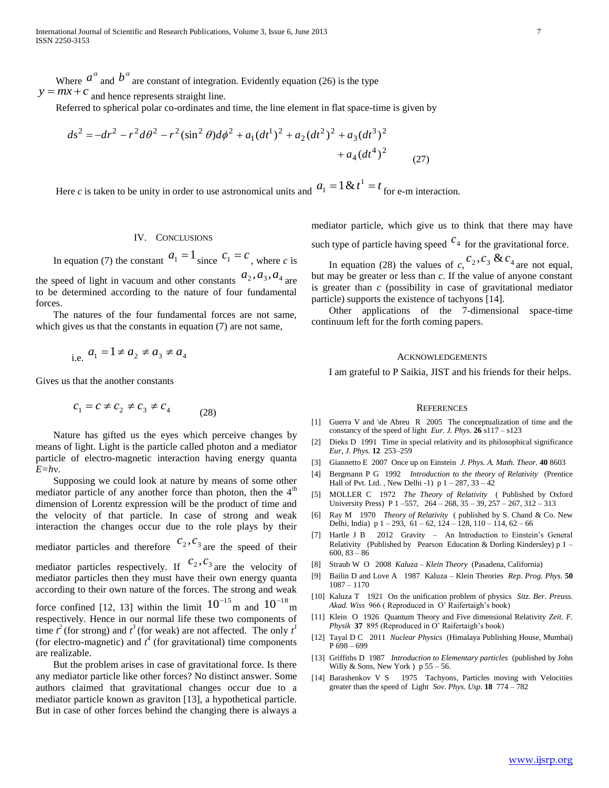Where  $a^{\alpha}$  and  $b^{\alpha}$  are constant of integration. Evidently equation (26) is the type  $y = mx + c$  and hence represents straight line.

Referred to spherical polar co-ordinates and time, the line element in flat space-time is given by  
\n
$$
ds^2 = -dr^2 - r^2 d\theta^2 - r^2 (\sin^2 \theta) d\phi^2 + a_1 (dt^1)^2 + a_2 (dt^2)^2 + a_3 (dt^3)^2
$$
\n
$$
+ a_4 (dt^4)^2 \tag{27}
$$

Here *c* is taken to be unity in order to use astronomical units and  $a_1 = 1 \& t^1 = t$  for e-m interaction.

#### IV. CONCLUSIONS

In equation (7) the constant  $a_1 = 1$  since  $c_1 = c$ , where *c* is

the speed of light in vacuum and other constants  $a_2$ ,  $a_3$ ,  $a_4$  are to be determined according to the nature of four fundamental forces.

 The natures of the four fundamental forces are not same, which gives us that the constants in equation (7) are not same,

i.e. 
$$
a_1 = 1 \neq a_2 \neq a_3 \neq a_4
$$

Gives us that the another constants

are realizable.

$$
c_1 = c \neq c_2 \neq c_3 \neq c_4 \tag{28}
$$

 Nature has gifted us the eyes which perceive changes by means of light. Light is the particle called photon and a mediator particle of electro-magnetic interaction having energy quanta *E=h*ν.

 Supposing we could look at nature by means of some other mediator particle of any another force than photon, then the 4<sup>th</sup> dimension of Lorentz expression will be the product of time and the velocity of that particle. In case of strong and weak interaction the changes occur due to the role plays by their mediator particles and therefore  $c_2, c_3$  are the speed of their mediator particles respectively. If  $c_2, c_3$  are the velocity of mediator particles then they must have their own energy quanta according to their own nature of the forces. The strong and weak force confined [12, 13] within the limit  $10^{-15}$  m and  $10^{-18}$  m respectively. Hence in our normal life these two components of time  $t^2$  (for strong) and  $t^3$  (for weak) are not affected. The only  $t^1$ (for electro-magnetic) and  $t^4$  (for gravitational) time components

 But the problem arises in case of gravitational force. Is there any mediator particle like other forces? No distinct answer. Some authors claimed that gravitational changes occur due to a mediator particle known as graviton [13], a hypothetical particle. But in case of other forces behind the changing there is always a

mediator particle, which give us to think that there may have such type of particle having speed  $c_4$  for the gravitational force.

In equation (28) the values of  $c_1^2$ ,  $c_2^3$ ,  $c_3$  &  $c_4$  are not equal, but may be greater or less than *c*. If the value of anyone constant is greater than *c* (possibility in case of gravitational mediator particle) supports the existence of tachyons [14].

 Other applications of the 7-dimensional space-time continuum left for the forth coming papers.

#### ACKNOWLEDGEMENTS

I am grateful to P Saikia, JIST and his friends for their helps.

#### **REFERENCES**

- [1] Guerra V and \de Abreu R 2005 The conceptualization of time and the constancy of the speed of light *Eur. J. Phys.* **26** s117 – s123
- [2] Dieks D 1991 Time in special relativity and its philosophical significance *Eur, J. Phys.* **12** 253–259
- [3] Giannetto E 2007 Once up on Einstein *J. Phys. A. Math. Theor.* **40** 8603
- [4] Bergmann P G 1992 *Introduction to the theory of Relativity* (Prentice Hall of Pvt. Ltd., New Delhi -1)  $p 1 - 287$ ,  $33 - 42$
- [5] MOLLER C 1972 *The Theory of Relativity* ( Published by Oxford University Press) P 1 –557, 264 – 268, 35 – 39, 257 – 267, 312 – 313
- [6] Ray M 1970 *Theory of Relativity* ( published by S. Chand & Co. New Delhi, India) p 1 – 293, 61 – 62, 124 – 128, 110 – 114, 62 – 66
- [7] Hartle J B 2012 Gravity An Introduction to Einstein's General Relativity (Published by Pearson Education & Dorling Kindersley) p 1 – 600, 83 – 86
- [8] Straub W O 2008 *Kaluza – Klein Theory* (Pasadena, California)
- [9] Bailin D and Love A 1987 Kaluza Klein Theories *Rep. Prog. Phys.* **50**  1087 – 1170
- [10] Kaluza T 1921 On the unification problem of physics *Sitz. Ber. Preuss. Akad. Wiss* 966 ( Reproduced in O' Raifertaigh's book)
- [11] Klein O 1926 Quantum Theory and Five dimensional Relativity *Zeit. F. Physik* **37** 895 (Reproduced in O' Raifertaigh's book)
- [12] Tayal D C 2011 *Nuclear Physics* (Himalaya Publishing House, Mumbai) P 698 – 699
- [13] Griffiths D 1987 *Introduction to Elementary particles* (published by John Willy & Sons, New York  $)$  p 55 – 56.
- [14] Barashenkov V S 1975 Tachyons, Particles moving with Velocities greater than the speed of Light *Sov. Phys. Usp.* **18** 774 – 782